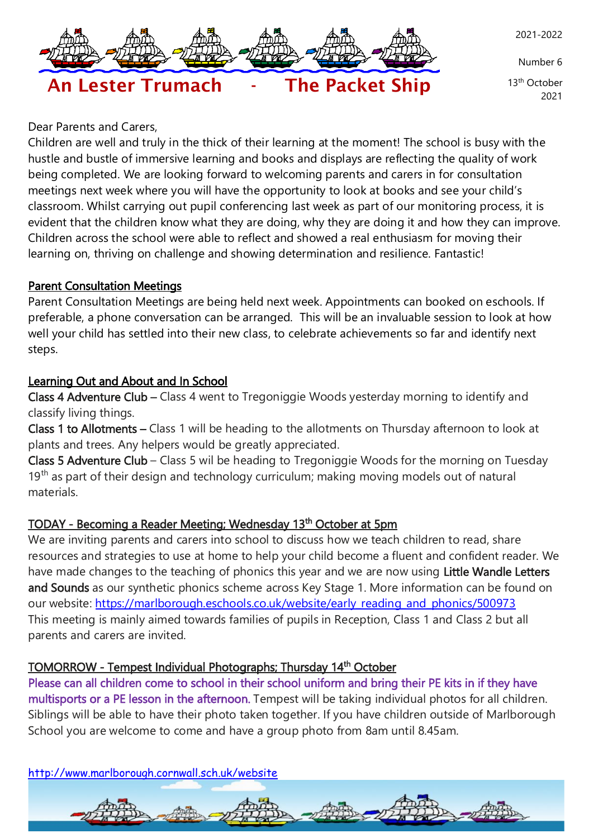

Number 6

 13th October 2021

# An Lester Trumach - The Packet Ship

Dear Parents and Carers,

Children are well and truly in the thick of their learning at the moment! The school is busy with the hustle and bustle of immersive learning and books and displays are reflecting the quality of work being completed. We are looking forward to welcoming parents and carers in for consultation meetings next week where you will have the opportunity to look at books and see your child's classroom. Whilst carrying out pupil conferencing last week as part of our monitoring process, it is evident that the children know what they are doing, why they are doing it and how they can improve. Children across the school were able to reflect and showed a real enthusiasm for moving their learning on, thriving on challenge and showing determination and resilience. Fantastic!

## Parent Consultation Meetings

Parent Consultation Meetings are being held next week. Appointments can booked on eschools. If preferable, a phone conversation can be arranged. This will be an invaluable session to look at how well your child has settled into their new class, to celebrate achievements so far and identify next steps.

# Learning Out and About and In School

Class 4 Adventure Club – Class 4 went to Tregoniggie Woods yesterday morning to identify and classify living things.

Class 1 to Allotments – Class 1 will be heading to the allotments on Thursday afternoon to look at plants and trees. Any helpers would be greatly appreciated.

Class 5 Adventure Club – Class 5 wil be heading to Tregoniggie Woods for the morning on Tuesday 19<sup>th</sup> as part of their design and technology curriculum; making moving models out of natural materials.

# TODAY - Becoming a Reader Meeting; Wednesday 13<sup>th</sup> October at 5pm

We are inviting parents and carers into school to discuss how we teach children to read, share resources and strategies to use at home to help your child become a fluent and confident reader. We have made changes to the teaching of phonics this year and we are now using Little Wandle Letters and Sounds as our synthetic phonics scheme across Key Stage 1. More information can be found on our website: [https://marlborough.eschools.co.uk/website/early\\_reading\\_and\\_phonics/500973](https://marlborough.eschools.co.uk/website/early_reading_and_phonics/500973) This meeting is mainly aimed towards families of pupils in Reception, Class 1 and Class 2 but all parents and carers are invited.

# TOMORROW - Tempest Individual Photographs; Thursday 14<sup>th</sup> October

Please can all children come to school in their school uniform and bring their PE kits in if they have multisports or a PE lesson in the afternoon. Tempest will be taking individual photos for all children. Siblings will be able to have their photo taken together. If you have children outside of Marlborough School you are welcome to come and have a group photo from 8am until 8.45am.

<http://www.marlborough.cornwall.sch.uk/website>